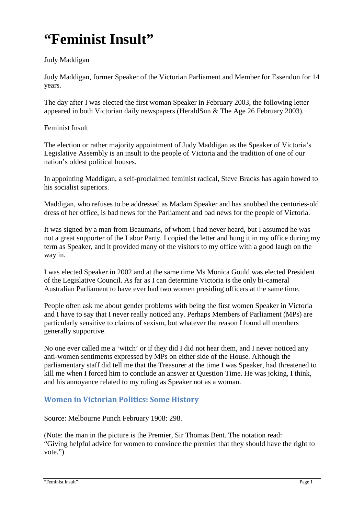# **"Feminist Insult"**

#### Judy Maddigan

Judy Maddigan, former Speaker of the Victorian Parliament and Member for Essendon for 14 years.

The day after I was elected the first woman Speaker in February 2003, the following letter appeared in both Victorian daily newspapers (HeraldSun & The Age 26 February 2003).

#### Feminist Insult

The election or rather majority appointment of Judy Maddigan as the Speaker of Victoria's Legislative Assembly is an insult to the people of Victoria and the tradition of one of our nation's oldest political houses.

In appointing Maddigan, a self-proclaimed feminist radical, Steve Bracks has again bowed to his socialist superiors.

Maddigan, who refuses to be addressed as Madam Speaker and has snubbed the centuries-old dress of her office, is bad news for the Parliament and bad news for the people of Victoria.

It was signed by a man from Beaumaris, of whom I had never heard, but I assumed he was not a great supporter of the Labor Party. I copied the letter and hung it in my office during my term as Speaker, and it provided many of the visitors to my office with a good laugh on the way in.

I was elected Speaker in 2002 and at the same time Ms Monica Gould was elected President of the Legislative Council. As far as I can determine Victoria is the only bi-cameral Australian Parliament to have ever had two women presiding officers at the same time.

People often ask me about gender problems with being the first women Speaker in Victoria and I have to say that I never really noticed any. Perhaps Members of Parliament (MPs) are particularly sensitive to claims of sexism, but whatever the reason I found all members generally supportive.

No one ever called me a 'witch' or if they did I did not hear them, and I never noticed any anti-women sentiments expressed by MPs on either side of the House. Although the parliamentary staff did tell me that the Treasurer at the time I was Speaker, had threatened to kill me when I forced him to conclude an answer at Question Time. He was joking, I think, and his annoyance related to my ruling as Speaker not as a woman.

## **Women in Victorian Politics: Some History**

Source: Melbourne Punch February 1908: 298.

(Note: the man in the picture is the Premier, Sir Thomas Bent. The notation read: "Giving helpful advice for women to convince the premier that they should have the right to vote.")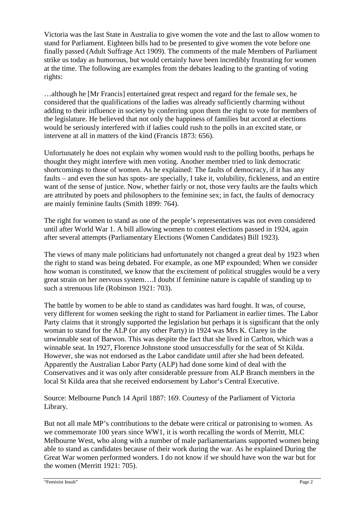Victoria was the last State in Australia to give women the vote and the last to allow women to stand for Parliament. Eighteen bills had to be presented to give women the vote before one finally passed (Adult Suffrage Act 1909). The comments of the male Members of Parliament strike us today as humorous, but would certainly have been incredibly frustrating for women at the time. The following are examples from the debates leading to the granting of voting rights:

…although he [Mr Francis] entertained great respect and regard for the female sex, he considered that the qualifications of the ladies was already sufficiently charming without adding to their influence in society by conferring upon them the right to vote for members of the legislature. He believed that not only the happiness of families but accord at elections would be seriously interfered with if ladies could rush to the polls in an excited state, or intervene at all in matters of the kind (Francis 1873: 656).

Unfortunately he does not explain why women would rush to the polling booths, perhaps he thought they might interfere with men voting. Another member tried to link democratic shortcomings to those of women. As he explained: The faults of democracy, if it has any faults – and even the sun has spots- are specially, I take it, volubility, fickleness, and an entire want of the sense of justice. Now, whether fairly or not, those very faults are the faults which are attributed by poets and philosophers to the feminine sex; in fact, the faults of democracy are mainly feminine faults (Smith 1899: 764).

The right for women to stand as one of the people's representatives was not even considered until after World War 1. A bill allowing women to contest elections passed in 1924, again after several attempts (Parliamentary Elections (Women Candidates) Bill 1923).

The views of many male politicians had unfortunately not changed a great deal by 1923 when the right to stand was being debated. For example, as one MP expounded; When we consider how woman is constituted, we know that the excitement of political struggles would be a very great strain on her nervous system….I doubt if feminine nature is capable of standing up to such a strenuous life (Robinson 1921: 703).

The battle by women to be able to stand as candidates was hard fought. It was, of course, very different for women seeking the right to stand for Parliament in earlier times. The Labor Party claims that it strongly supported the legislation but perhaps it is significant that the only woman to stand for the ALP (or any other Party) in 1924 was Mrs K. Clarey in the unwinnable seat of Barwon. This was despite the fact that she lived in Carlton, which was a winnable seat. In 1927, Florence Johnstone stood unsuccessfully for the seat of St Kilda. However, she was not endorsed as the Labor candidate until after she had been defeated. Apparently the Australian Labor Party (ALP) had done some kind of deal with the Conservatives and it was only after considerable pressure from ALP Branch members in the local St Kilda area that she received endorsement by Labor's Central Executive.

Source: Melbourne Punch 14 April 1887: 169. Courtesy of the Parliament of Victoria Library.

But not all male MP's contributions to the debate were critical or patronising to women. As we commemorate 100 years since WW1, it is worth recalling the words of Merritt, MLC Melbourne West, who along with a number of male parliamentarians supported women being able to stand as candidates because of their work during the war. As he explained During the Great War women performed wonders. I do not know if we should have won the war but for the women (Merritt 1921: 705).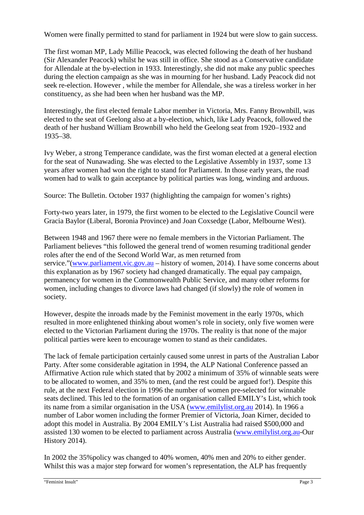Women were finally permitted to stand for parliament in 1924 but were slow to gain success.

The first woman MP, Lady Millie Peacock, was elected following the death of her husband (Sir Alexander Peacock) whilst he was still in office. She stood as a Conservative candidate for Allendale at the by-election in 1933. Interestingly, she did not make any public speeches during the election campaign as she was in mourning for her husband. Lady Peacock did not seek re-election. However , while the member for Allendale, she was a tireless worker in her constituency, as she had been when her husband was the MP.

Interestingly, the first elected female Labor member in Victoria, Mrs. Fanny Brownbill, was elected to the seat of Geelong also at a by-election, which, like Lady Peacock, followed the death of her husband William Brownbill who held the Geelong seat from 1920–1932 and 1935–38.

Ivy Weber, a strong Temperance candidate, was the first woman elected at a general election for the seat of Nunawading. She was elected to the Legislative Assembly in 1937, some 13 years after women had won the right to stand for Parliament. In those early years, the road women had to walk to gain acceptance by political parties was long, winding and arduous.

Source: The Bulletin. October 1937 (highlighting the campaign for women's rights)

Forty-two years later, in 1979, the first women to be elected to the Legislative Council were Gracia Baylor (Liberal, Boronia Province) and Joan Coxsedge (Labor, Melbourne West).

Between 1948 and 1967 there were no female members in the Victorian Parliament. The Parliament believes "this followed the general trend of women resuming traditional gender roles after the end of the Second World War, as men returned from service."(www.parliament.vic.gov.au – history of women, 2014). I have some concerns about this explanation as by 1967 society had changed dramatically. The equal pay campaign, permanency for women in the Commonwealth Public Service, and many other reforms for women, including changes to divorce laws had changed (if slowly) the role of women in society.

However, despite the inroads made by the Feminist movement in the early 1970s, which resulted in more enlightened thinking about women's role in society, only five women were elected to the Victorian Parliament during the 1970s. The reality is that none of the major political parties were keen to encourage women to stand as their candidates.

The lack of female participation certainly caused some unrest in parts of the Australian Labor Party. After some considerable agitation in 1994, the ALP National Conference passed an Affirmative Action rule which stated that by 2002 a minimum of 35% of winnable seats were to be allocated to women, and 35% to men, (and the rest could be argued for!). Despite this rule, at the next Federal election in 1996 the number of women pre-selected for winnable seats declined. This led to the formation of an organisation called EMILY's List, which took its name from a similar organisation in the USA (www.emilylist.org.au 2014). In 1966 a number of Labor women including the former Premier of Victoria, Joan Kirner, decided to adopt this model in Australia. By 2004 EMILY's List Australia had raised \$500,000 and assisted 130 women to be elected to parliament across Australia (www.emilylist.org.au-Our History 2014).

In 2002 the 35%policy was changed to 40% women, 40% men and 20% to either gender. Whilst this was a major step forward for women's representation, the ALP has frequently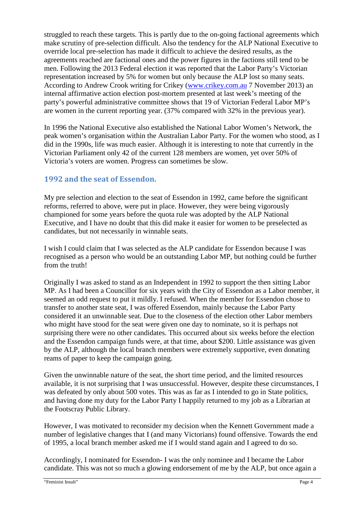struggled to reach these targets. This is partly due to the on-going factional agreements which make scrutiny of pre-selection difficult. Also the tendency for the ALP National Executive to override local pre-selection has made it difficult to achieve the desired results, as the agreements reached are factional ones and the power figures in the factions still tend to be men. Following the 2013 Federal election it was reported that the Labor Party's Victorian representation increased by 5% for women but only because the ALP lost so many seats. According to Andrew Crook writing for Crikey (www.crikey.com.au 7 November 2013) an internal affirmative action election post-mortem presented at last week's meeting of the party's powerful administrative committee shows that 19 of Victorian Federal Labor MP's are women in the current reporting year. (37% compared with 32% in the previous year).

In 1996 the National Executive also established the National Labor Women's Network, the peak women's organisation within the Australian Labor Party. For the women who stood, as I did in the 1990s, life was much easier. Although it is interesting to note that currently in the Victorian Parliament only 42 of the current 128 members are women, yet over 50% of Victoria's voters are women. Progress can sometimes be slow.

### **1992 and the seat of Essendon.**

My pre selection and election to the seat of Essendon in 1992, came before the significant reforms, referred to above, were put in place. However, they were being vigorously championed for some years before the quota rule was adopted by the ALP National Executive, and I have no doubt that this did make it easier for women to be preselected as candidates, but not necessarily in winnable seats.

I wish I could claim that I was selected as the ALP candidate for Essendon because I was recognised as a person who would be an outstanding Labor MP, but nothing could be further from the truth!

Originally I was asked to stand as an Independent in 1992 to support the then sitting Labor MP. As I had been a Councillor for six years with the City of Essendon as a Labor member, it seemed an odd request to put it mildly. I refused. When the member for Essendon chose to transfer to another state seat, I was offered Essendon, mainly because the Labor Party considered it an unwinnable seat. Due to the closeness of the election other Labor members who might have stood for the seat were given one day to nominate, so it is perhaps not surprising there were no other candidates. This occurred about six weeks before the election and the Essendon campaign funds were, at that time, about \$200. Little assistance was given by the ALP, although the local branch members were extremely supportive, even donating reams of paper to keep the campaign going.

Given the unwinnable nature of the seat, the short time period, and the limited resources available, it is not surprising that I was unsuccessful. However, despite these circumstances, I was defeated by only about 500 votes. This was as far as I intended to go in State politics, and having done my duty for the Labor Party I happily returned to my job as a Librarian at the Footscray Public Library.

However, I was motivated to reconsider my decision when the Kennett Government made a number of legislative changes that I (and many Victorians) found offensive. Towards the end of 1995, a local branch member asked me if I would stand again and I agreed to do so.

Accordingly, I nominated for Essendon- I was the only nominee and I became the Labor candidate. This was not so much a glowing endorsement of me by the ALP, but once again a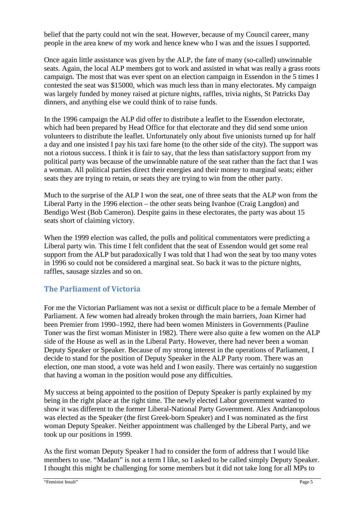belief that the party could not win the seat. However, because of my Council career, many people in the area knew of my work and hence knew who I was and the issues I supported.

Once again little assistance was given by the ALP, the fate of many (so-called) unwinnable seats. Again, the local ALP members got to work and assisted in what was really a grass roots campaign. The most that was ever spent on an election campaign in Essendon in the 5 times I contested the seat was \$15000, which was much less than in many electorates. My campaign was largely funded by money raised at picture nights, raffles, trivia nights, St Patricks Day dinners, and anything else we could think of to raise funds.

In the 1996 campaign the ALP did offer to distribute a leaflet to the Essendon electorate, which had been prepared by Head Office for that electorate and they did send some union volunteers to distribute the leaflet. Unfortunately only about five unionists turned up for half a day and one insisted I pay his taxi fare home (to the other side of the city). The support was not a riotous success. I think it is fair to say, that the less than satisfactory support from my political party was because of the unwinnable nature of the seat rather than the fact that I was a woman. All political parties direct their energies and their money to marginal seats; either seats they are trying to retain, or seats they are trying to win from the other party.

Much to the surprise of the ALP I won the seat, one of three seats that the ALP won from the Liberal Party in the 1996 election – the other seats being Ivanhoe (Craig Langdon) and Bendigo West (Bob Cameron). Despite gains in these electorates, the party was about 15 seats short of claiming victory.

When the 1999 election was called, the polls and political commentators were predicting a Liberal party win. This time I felt confident that the seat of Essendon would get some real support from the ALP but paradoxically I was told that I had won the seat by too many votes in 1996 so could not be considered a marginal seat. So back it was to the picture nights, raffles, sausage sizzles and so on.

#### **The Parliament of Victoria**

For me the Victorian Parliament was not a sexist or difficult place to be a female Member of Parliament. A few women had already broken through the main barriers, Joan Kirner had been Premier from 1990–1992, there had been women Ministers in Governments (Pauline Toner was the first woman Minister in 1982). There were also quite a few women on the ALP side of the House as well as in the Liberal Party. However, there had never been a woman Deputy Speaker or Speaker. Because of my strong interest in the operations of Parliament, I decide to stand for the position of Deputy Speaker in the ALP Party room. There was an election, one man stood, a vote was held and I won easily. There was certainly no suggestion that having a woman in the position would pose any difficulties.

My success at being appointed to the position of Deputy Speaker is partly explained by my being in the right place at the right time. The newly elected Labor government wanted to show it was different to the former Liberal-National Party Government. Alex Andrianopolous was elected as the Speaker (the first Greek-born Speaker) and I was nominated as the first woman Deputy Speaker. Neither appointment was challenged by the Liberal Party, and we took up our positions in 1999.

As the first woman Deputy Speaker I had to consider the form of address that I would like members to use. "Madam" is not a term I like, so I asked to be called simply Deputy Speaker. I thought this might be challenging for some members but it did not take long for all MPs to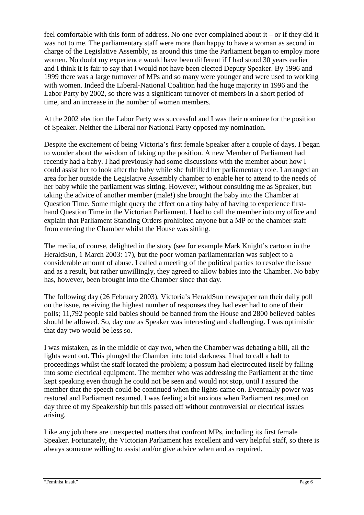feel comfortable with this form of address. No one ever complained about it – or if they did it was not to me. The parliamentary staff were more than happy to have a woman as second in charge of the Legislative Assembly, as around this time the Parliament began to employ more women. No doubt my experience would have been different if I had stood 30 years earlier and I think it is fair to say that I would not have been elected Deputy Speaker. By 1996 and 1999 there was a large turnover of MPs and so many were younger and were used to working with women. Indeed the Liberal-National Coalition had the huge majority in 1996 and the Labor Party by 2002, so there was a significant turnover of members in a short period of time, and an increase in the number of women members.

At the 2002 election the Labor Party was successful and I was their nominee for the position of Speaker. Neither the Liberal nor National Party opposed my nomination.

Despite the excitement of being Victoria's first female Speaker after a couple of days, I began to wonder about the wisdom of taking up the position. A new Member of Parliament had recently had a baby. I had previously had some discussions with the member about how I could assist her to look after the baby while she fulfilled her parliamentary role. I arranged an area for her outside the Legislative Assembly chamber to enable her to attend to the needs of her baby while the parliament was sitting. However, without consulting me as Speaker, but taking the advice of another member (male!) she brought the baby into the Chamber at Question Time. Some might query the effect on a tiny baby of having to experience firsthand Question Time in the Victorian Parliament. I had to call the member into my office and explain that Parliament Standing Orders prohibited anyone but a MP or the chamber staff from entering the Chamber whilst the House was sitting.

The media, of course, delighted in the story (see for example Mark Knight's cartoon in the HeraldSun, 1 March 2003: 17), but the poor woman parliamentarian was subject to a considerable amount of abuse. I called a meeting of the political parties to resolve the issue and as a result, but rather unwillingly, they agreed to allow babies into the Chamber. No baby has, however, been brought into the Chamber since that day.

The following day (26 February 2003), Victoria's HeraldSun newspaper ran their daily poll on the issue, receiving the highest number of responses they had ever had to one of their polls; 11,792 people said babies should be banned from the House and 2800 believed babies should be allowed. So, day one as Speaker was interesting and challenging. I was optimistic that day two would be less so.

I was mistaken, as in the middle of day two, when the Chamber was debating a bill, all the lights went out. This plunged the Chamber into total darkness. I had to call a halt to proceedings whilst the staff located the problem; a possum had electrocuted itself by falling into some electrical equipment. The member who was addressing the Parliament at the time kept speaking even though he could not be seen and would not stop, until I assured the member that the speech could be continued when the lights came on. Eventually power was restored and Parliament resumed. I was feeling a bit anxious when Parliament resumed on day three of my Speakership but this passed off without controversial or electrical issues arising.

Like any job there are unexpected matters that confront MPs, including its first female Speaker. Fortunately, the Victorian Parliament has excellent and very helpful staff, so there is always someone willing to assist and/or give advice when and as required.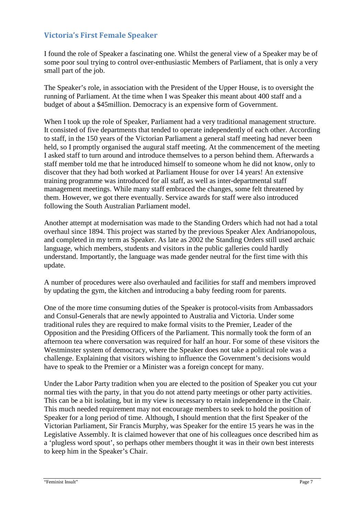### **Victoria's First Female Speaker**

I found the role of Speaker a fascinating one. Whilst the general view of a Speaker may be of some poor soul trying to control over-enthusiastic Members of Parliament, that is only a very small part of the job.

The Speaker's role, in association with the President of the Upper House, is to oversight the running of Parliament. At the time when I was Speaker this meant about 400 staff and a budget of about a \$45million. Democracy is an expensive form of Government.

When I took up the role of Speaker, Parliament had a very traditional management structure. It consisted of five departments that tended to operate independently of each other. According to staff, in the 150 years of the Victorian Parliament a general staff meeting had never been held, so I promptly organised the augural staff meeting. At the commencement of the meeting I asked staff to turn around and introduce themselves to a person behind them. Afterwards a staff member told me that he introduced himself to someone whom he did not know, only to discover that they had both worked at Parliament House for over 14 years! An extensive training programme was introduced for all staff, as well as inter-departmental staff management meetings. While many staff embraced the changes, some felt threatened by them. However, we got there eventually. Service awards for staff were also introduced following the South Australian Parliament model.

Another attempt at modernisation was made to the Standing Orders which had not had a total overhaul since 1894. This project was started by the previous Speaker Alex Andrianopolous, and completed in my term as Speaker. As late as 2002 the Standing Orders still used archaic language, which members, students and visitors in the public galleries could hardly understand. Importantly, the language was made gender neutral for the first time with this update.

A number of procedures were also overhauled and facilities for staff and members improved by updating the gym, the kitchen and introducing a baby feeding room for parents.

One of the more time consuming duties of the Speaker is protocol-visits from Ambassadors and Consul-Generals that are newly appointed to Australia and Victoria. Under some traditional rules they are required to make formal visits to the Premier, Leader of the Opposition and the Presiding Officers of the Parliament. This normally took the form of an afternoon tea where conversation was required for half an hour. For some of these visitors the Westminster system of democracy, where the Speaker does not take a political role was a challenge. Explaining that visitors wishing to influence the Government's decisions would have to speak to the Premier or a Minister was a foreign concept for many.

Under the Labor Party tradition when you are elected to the position of Speaker you cut your normal ties with the party, in that you do not attend party meetings or other party activities. This can be a bit isolating, but in my view is necessary to retain independence in the Chair. This much needed requirement may not encourage members to seek to hold the position of Speaker for a long period of time. Although, I should mention that the first Speaker of the Victorian Parliament, Sir Francis Murphy, was Speaker for the entire 15 years he was in the Legislative Assembly. It is claimed however that one of his colleagues once described him as a 'plugless word spout', so perhaps other members thought it was in their own best interests to keep him in the Speaker's Chair.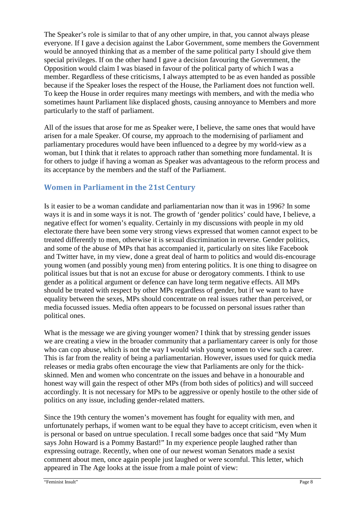The Speaker's role is similar to that of any other umpire, in that, you cannot always please everyone. If I gave a decision against the Labor Government, some members the Government would be annoyed thinking that as a member of the same political party I should give them special privileges. If on the other hand I gave a decision favouring the Government, the Opposition would claim I was biased in favour of the political party of which I was a member. Regardless of these criticisms, I always attempted to be as even handed as possible because if the Speaker loses the respect of the House, the Parliament does not function well. To keep the House in order requires many meetings with members, and with the media who sometimes haunt Parliament like displaced ghosts, causing annoyance to Members and more particularly to the staff of parliament.

All of the issues that arose for me as Speaker were, I believe, the same ones that would have arisen for a male Speaker. Of course, my approach to the modernising of parliament and parliamentary procedures would have been influenced to a degree by my world-view as a woman, but I think that it relates to approach rather than something more fundamental. It is for others to judge if having a woman as Speaker was advantageous to the reform process and its acceptance by the members and the staff of the Parliament.

## **Women in Parliament in the 21st Century**

Is it easier to be a woman candidate and parliamentarian now than it was in 1996? In some ways it is and in some ways it is not. The growth of 'gender politics' could have, I believe, a negative effect for women's equality. Certainly in my discussions with people in my old electorate there have been some very strong views expressed that women cannot expect to be treated differently to men, otherwise it is sexual discrimination in reverse. Gender politics, and some of the abuse of MPs that has accompanied it, particularly on sites like Facebook and Twitter have, in my view, done a great deal of harm to politics and would dis-encourage young women (and possibly young men) from entering politics. It is one thing to disagree on political issues but that is not an excuse for abuse or derogatory comments. I think to use gender as a political argument or defence can have long term negative effects. All MPs should be treated with respect by other MPs regardless of gender, but if we want to have equality between the sexes, MPs should concentrate on real issues rather than perceived, or media focussed issues. Media often appears to be focussed on personal issues rather than political ones.

What is the message we are giving younger women? I think that by stressing gender issues we are creating a view in the broader community that a parliamentary career is only for those who can cop abuse, which is not the way I would wish young women to view such a career. This is far from the reality of being a parliamentarian. However, issues used for quick media releases or media grabs often encourage the view that Parliaments are only for the thickskinned. Men and women who concentrate on the issues and behave in a honourable and honest way will gain the respect of other MPs (from both sides of politics) and will succeed accordingly. It is not necessary for MPs to be aggressive or openly hostile to the other side of politics on any issue, including gender-related matters.

Since the 19th century the women's movement has fought for equality with men, and unfortunately perhaps, if women want to be equal they have to accept criticism, even when it is personal or based on untrue speculation. I recall some badges once that said "My Mum says John Howard is a Pommy Bastard!" In my experience people laughed rather than expressing outrage. Recently, when one of our newest woman Senators made a sexist comment about men, once again people just laughed or were scornful. This letter, which appeared in The Age looks at the issue from a male point of view: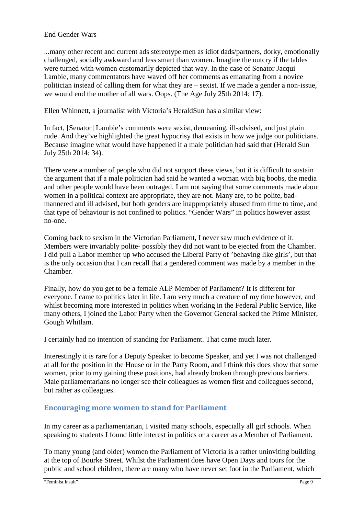#### End Gender Wars

...many other recent and current ads stereotype men as idiot dads/partners, dorky, emotionally challenged, socially awkward and less smart than women. Imagine the outcry if the tables were turned with women customarily depicted that way. In the case of Senator Jacqui Lambie, many commentators have waved off her comments as emanating from a novice politician instead of calling them for what they are – sexist. If we made a gender a non-issue, we would end the mother of all wars. Oops. (The Age July 25th 2014: 17).

Ellen Whinnett, a journalist with Victoria's HeraldSun has a similar view:

In fact, [Senator] Lambie's comments were sexist, demeaning, ill-advised, and just plain rude. And they've highlighted the great hypocrisy that exists in how we judge our politicians. Because imagine what would have happened if a male politician had said that (Herald Sun July 25th 2014: 34).

There were a number of people who did not support these views, but it is difficult to sustain the argument that if a male politician had said he wanted a woman with big boobs, the media and other people would have been outraged. I am not saying that some comments made about women in a political context are appropriate, they are not. Many are, to be polite, badmannered and ill advised, but both genders are inappropriately abused from time to time, and that type of behaviour is not confined to politics. "Gender Wars" in politics however assist no-one.

Coming back to sexism in the Victorian Parliament, I never saw much evidence of it. Members were invariably polite- possibly they did not want to be ejected from the Chamber. I did pull a Labor member up who accused the Liberal Party of 'behaving like girls', but that is the only occasion that I can recall that a gendered comment was made by a member in the Chamber.

Finally, how do you get to be a female ALP Member of Parliament? It is different for everyone. I came to politics later in life. I am very much a creature of my time however, and whilst becoming more interested in politics when working in the Federal Public Service, like many others, I joined the Labor Party when the Governor General sacked the Prime Minister, Gough Whitlam.

I certainly had no intention of standing for Parliament. That came much later.

Interestingly it is rare for a Deputy Speaker to become Speaker, and yet I was not challenged at all for the position in the House or in the Party Room, and I think this does show that some women, prior to my gaining these positions, had already broken through previous barriers. Male parliamentarians no longer see their colleagues as women first and colleagues second, but rather as colleagues.

#### **Encouraging more women to stand for Parliament**

In my career as a parliamentarian, I visited many schools, especially all girl schools. When speaking to students I found little interest in politics or a career as a Member of Parliament.

To many young (and older) women the Parliament of Victoria is a rather uninviting building at the top of Bourke Street. Whilst the Parliament does have Open Days and tours for the public and school children, there are many who have never set foot in the Parliament, which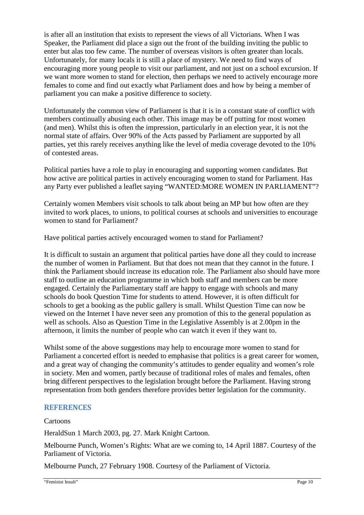is after all an institution that exists to represent the views of all Victorians. When I was Speaker, the Parliament did place a sign out the front of the building inviting the public to enter but alas too few came. The number of overseas visitors is often greater than locals. Unfortunately, for many locals it is still a place of mystery. We need to find ways of encouraging more young people to visit our parliament, and not just on a school excursion. If we want more women to stand for election, then perhaps we need to actively encourage more females to come and find out exactly what Parliament does and how by being a member of parliament you can make a positive difference to society.

Unfortunately the common view of Parliament is that it is in a constant state of conflict with members continually abusing each other. This image may be off putting for most women (and men). Whilst this is often the impression, particularly in an election year, it is not the normal state of affairs. Over 90% of the Acts passed by Parliament are supported by all parties, yet this rarely receives anything like the level of media coverage devoted to the 10% of contested areas.

Political parties have a role to play in encouraging and supporting women candidates. But how active are political parties in actively encouraging women to stand for Parliament. Has any Party ever published a leaflet saying "WANTED:MORE WOMEN IN PARLIAMENT"?

Certainly women Members visit schools to talk about being an MP but how often are they invited to work places, to unions, to political courses at schools and universities to encourage women to stand for Parliament?

Have political parties actively encouraged women to stand for Parliament?

It is difficult to sustain an argument that political parties have done all they could to increase the number of women in Parliament. But that does not mean that they cannot in the future. I think the Parliament should increase its education role. The Parliament also should have more staff to outline an education programme in which both staff and members can be more engaged. Certainly the Parliamentary staff are happy to engage with schools and many schools do book Question Time for students to attend. However, it is often difficult for schools to get a booking as the public gallery is small. Whilst Question Time can now be viewed on the Internet I have never seen any promotion of this to the general population as well as schools. Also as Question Time in the Legislative Assembly is at 2.00pm in the afternoon, it limits the number of people who can watch it even if they want to.

Whilst some of the above suggestions may help to encourage more women to stand for Parliament a concerted effort is needed to emphasise that politics is a great career for women, and a great way of changing the community's attitudes to gender equality and women's role in society. Men and women, partly because of traditional roles of males and females, often bring different perspectives to the legislation brought before the Parliament. Having strong representation from both genders therefore provides better legislation for the community.

#### **REFERENCES**

#### Cartoons

HeraldSun 1 March 2003, pg. 27. Mark Knight Cartoon.

Melbourne Punch, Women's Rights: What are we coming to, 14 April 1887. Courtesy of the Parliament of Victoria.

Melbourne Punch, 27 February 1908. Courtesy of the Parliament of Victoria.